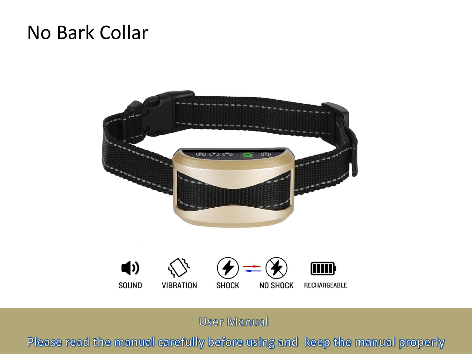# No Bark Collar





**User Manual** 

Please read the manual carefully before using and keep the manual properly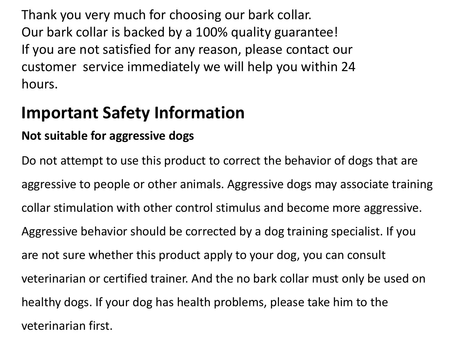Thank you very much for choosing our bark collar. Our bark collar is backed by a 100% quality guarantee! If you are not satisfied for any reason, please contact our customer service immediately we will help you within 24 hours.

# **Important Safety Information**

## **Not suitable for aggressive dogs**

Do not attempt to use this product to correct the behavior of dogs that are aggressive to people or other animals. Aggressive dogs may associate training collar stimulation with other control stimulus and become more aggressive.<br>Aggressive behavior should be corrected by a dog training specialist. If you are not sure whether this product apply to your dog, you can consult veterinarian or certified trainer. And the no bark collar must only be used on healthy dogs. If your dog has health problems, please take him to the veterinarian first.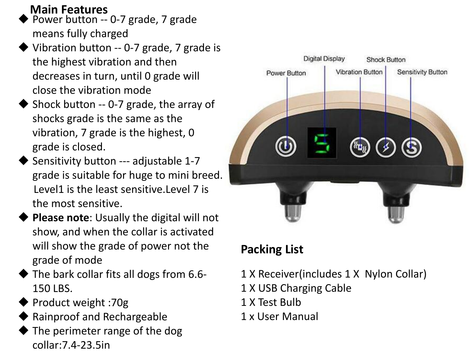**Main Features**

- Power button -- 0-7 grade, 7 grade means fully charged
- Vibration button  $-$  0-7 grade, 7 grade is the highest vibration and then decreases in turn, until 0 grade will Following Power Button close the vibration mode
- Shock button  $-$  0-7 grade, the array of shocks grade is the same as the vibration, 7 grade is the highest, 0 grade is closed.
- Sensitivity button --- adjustable 1-7 grade is suitable for huge to mini breed. Level1 is the least sensitive.Level 7 is the most sensitive.
- **Please note:** Usually the digital will not show, and when the collar is activated will show the grade of power not the grade of mode
- The bark collar fits all dogs from 6.6-150 LBS.
- Product weight :70g
- Rainproof and Rechargeable
- The perimeter range of the dog collar:7.4-23.5in



## **Packing List**

- 1 X Receiver(includes 1 X Nylon Collar)
- 1 X USB Charging Cable
- 1 X Test Bulb
- 1 x User Manual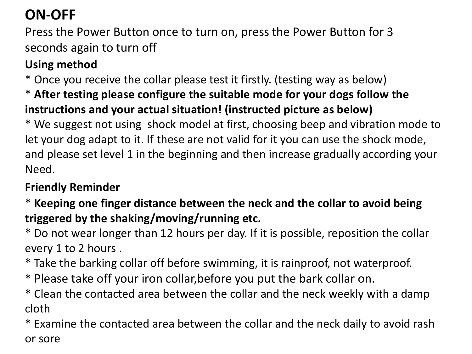# **ON-OFF**

Press the Power Button once to turn on, press the Power Button for 3 seconds again to turn off

## **Using method**

\* Once you receive the collar please test it firstly. (testing way as below)

\* **After testing please configure the suitable mode for your dogs follow the instructions and your actual situation! (instructed picture as below)**

\* We suggest not using shock model at first, choosing beep and vibration mode to let your dog adapt to it. If these are not valid for it you can use the shock mode, and please set level 1 in the beginning and then increase gradually according your Need.

#### **Friendly Reminder**

\* **Keeping one finger distance between the neck and the collar to avoid being triggered by the shaking/moving/running etc.**

\* Do not wear longer than 12 hours per day.If it is possible, reposition the collar

- every 1 to 2 hours .<br>\* Take the barking collar off before swimming, it is rainproof, not waterproof.
- \* Please take off your iron collar,before you put the bark collar on.
- \* Clean the contacted area between the collar and the neck weekly with a damp cloth

\* Examine the contacted area between the collar and the neck daily to avoid rash or sore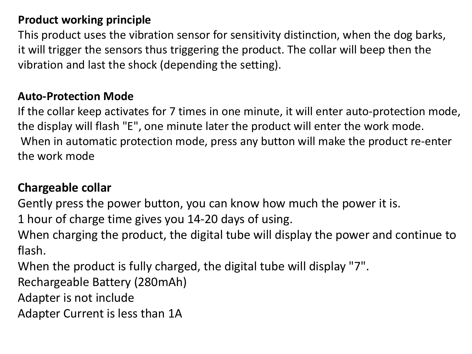#### **Product working principle**

This product uses the vibration sensor for sensitivity distinction, when the dog barks, it will trigger the sensors thus triggering the product. The collar will beep then the vibration and last the shock (depending the setting).

#### **Auto-Protection Mode**

If the collar keep activates for 7 times in one minute, it will enter auto-protection mode, the display will flash "E" , one minute later the product will enter the work mode. When in automatic protection mode, press any button will make the product re-enter the work mode

#### **Chargeable collar**

Gently press the power button, you can know how much the power it is.<br>1 hour of charge time gives you 14-20 days of using.

When charging the product, the digital tube will display the power and continue to flash.

When the product is fully charged, the digital tube will display "7".

Rechargeable Battery (280mAh)

Adapter is not include

Adapter Current is less than 1A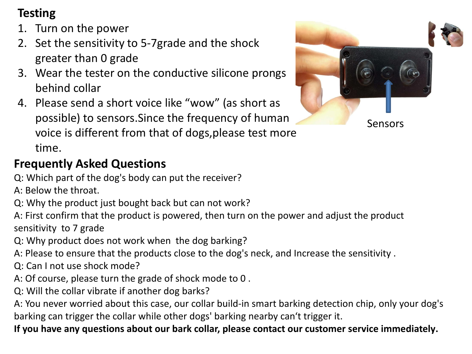## **Testing**

- 1. Turn on the power
- 2. Set the sensitivity to 5-7grade and the shock greater than 0 grade
- 3. Wear the tester on the conductive silicone prongs behind collar
- 4. Please send a short voice like "wow" (as short as possible) to sensors.Since the frequency of human voice is different from that of dogs,please test more time.

## **Frequently Asked Questions**

Q: Which part of the dog's body can put the receiver?

- A: Below the throat.
- Q: Why the product just bought back but can not work?
- A: First confirm that the product is powered, then turn on the power and adjust the product sensitivity to 7 grade
- Q: Why product does not work when the dog barking?
- A: Please to ensure that the products close to the dog's neck, and Increase the sensitivity .
- Q: Can I not use shock mode?
- A: Of course, please turn the grade of shock mode to 0 .
- Q: Will the collar vibrate if another dog barks?

A: You never worried about this case, our collar build-in smart barking detection chip, only your dog's barking can trigger the collar while other dogs' barking nearby can't trigger it.

**If you have any questions about our bark collar, please contact our customer service immediately.**

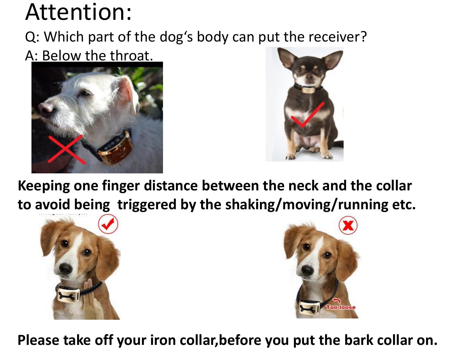# Attention:

Q: Which part of the dog's body can put the receiver?

# A: Below the throat.





**Keeping one finger distance between the neck and the collar to avoid being triggered by the shaking/moving/running etc.**





**Please take off your iron collar,before you put the bark collar on.**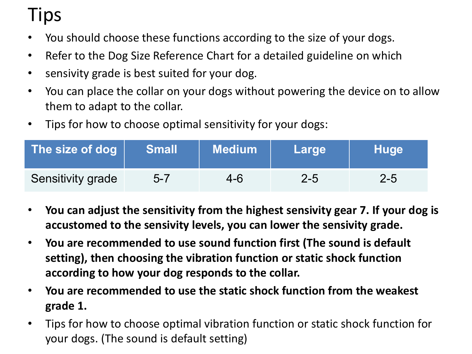# Tips

- You should choose these functions according to the size of your dogs.
- Refer to the Dog Size Reference Chart for a detailed guideline on which
- sensivity grade is best suited for your dog.
- You can place the collar on your dogs without powering the device on to allow them to adapt to the collar.
- Tips for how to choose optimal sensitivity for your dogs:

| The size of dog          | <b>Small</b> | $\sf I$ Medium $\sf I$ | <b>Large</b> | Huge    |
|--------------------------|--------------|------------------------|--------------|---------|
| <b>Sensitivity grade</b> | $5 - 7$      | 4-6                    | $2 - 5$      | $2 - 5$ |

- **You can adjust the sensitivity from the highest sensivity gear 7. If your dog is accustomed to the sensivity levels, you can lower the sensivity grade.**
- **You are recommended to use sound function first (The sound is default setting), then choosing the vibration function or static shock function according to how your dog responds to the collar.**
- **You are recommended to use the static shock function from the weakest grade 1.**
- Tips for how to choose optimal vibration function or static shock function for your dogs. (The sound is default setting)